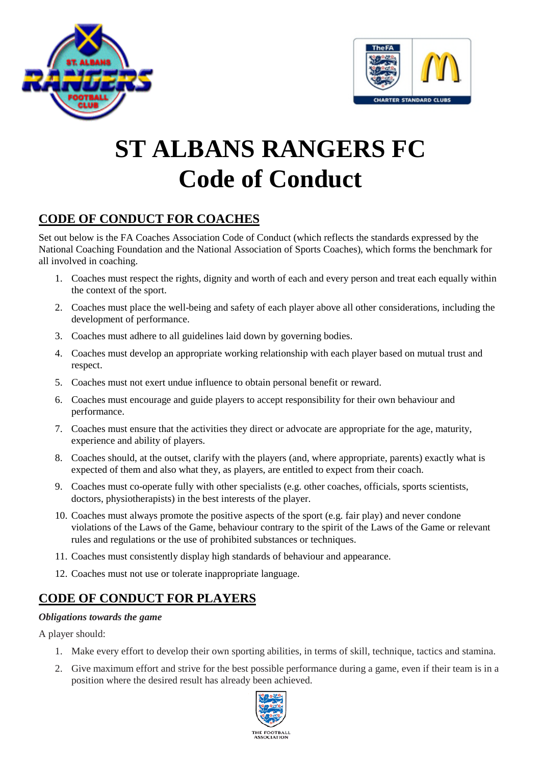



# **ST ALBANS RANGERS FC Code of Conduct**

# **CODE OF CONDUCT FOR COACHES**

Set out below is the FA Coaches Association Code of Conduct (which reflects the standards expressed by the National Coaching Foundation and the National Association of Sports Coaches), which forms the benchmark for all involved in coaching.

- 1. Coaches must respect the rights, dignity and worth of each and every person and treat each equally within the context of the sport.
- 2. Coaches must place the well-being and safety of each player above all other considerations, including the development of performance.
- 3. Coaches must adhere to all guidelines laid down by governing bodies.
- 4. Coaches must develop an appropriate working relationship with each player based on mutual trust and respect.
- 5. Coaches must not exert undue influence to obtain personal benefit or reward.
- 6. Coaches must encourage and guide players to accept responsibility for their own behaviour and performance.
- 7. Coaches must ensure that the activities they direct or advocate are appropriate for the age, maturity, experience and ability of players.
- 8. Coaches should, at the outset, clarify with the players (and, where appropriate, parents) exactly what is expected of them and also what they, as players, are entitled to expect from their coach.
- 9. Coaches must co-operate fully with other specialists (e.g. other coaches, officials, sports scientists, doctors, physiotherapists) in the best interests of the player.
- 10. Coaches must always promote the positive aspects of the sport (e.g. fair play) and never condone violations of the Laws of the Game, behaviour contrary to the spirit of the Laws of the Game or relevant rules and regulations or the use of prohibited substances or techniques.
- 11. Coaches must consistently display high standards of behaviour and appearance.
- 12. Coaches must not use or tolerate inappropriate language.

# **CODE OF CONDUCT FOR PLAYERS**

# *Obligations towards the game*

A player should:

- 1. Make every effort to develop their own sporting abilities, in terms of skill, technique, tactics and stamina.
- 2. Give maximum effort and strive for the best possible performance during a game, even if their team is in a position where the desired result has already been achieved.

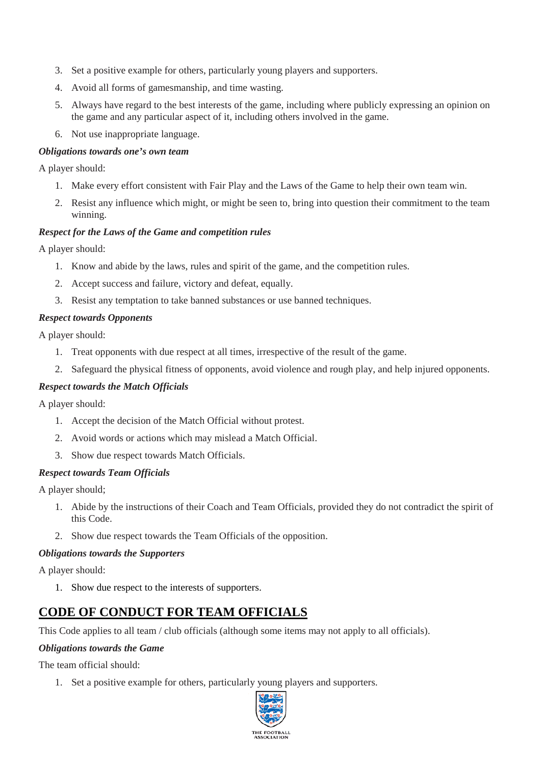- 3. Set a positive example for others, particularly young players and supporters.
- 4. Avoid all forms of gamesmanship, and time wasting.
- 5. Always have regard to the best interests of the game, including where publicly expressing an opinion on the game and any particular aspect of it, including others involved in the game.
- 6. Not use inappropriate language.

# *Obligations towards one's own team*

A player should:

- 1. Make every effort consistent with Fair Play and the Laws of the Game to help their own team win.
- 2. Resist any influence which might, or might be seen to, bring into question their commitment to the team winning.

## *Respect for the Laws of the Game and competition rules*

A player should:

- 1. Know and abide by the laws, rules and spirit of the game, and the competition rules.
- 2. Accept success and failure, victory and defeat, equally.
- 3. Resist any temptation to take banned substances or use banned techniques.

## *Respect towards Opponents*

A player should:

- 1. Treat opponents with due respect at all times, irrespective of the result of the game.
- 2. Safeguard the physical fitness of opponents, avoid violence and rough play, and help injured opponents.

# *Respect towards the Match Officials*

A player should:

- 1. Accept the decision of the Match Official without protest.
- 2. Avoid words or actions which may mislead a Match Official.
- 3. Show due respect towards Match Officials.

#### *Respect towards Team Officials*

A player should;

- 1. Abide by the instructions of their Coach and Team Officials, provided they do not contradict the spirit of this Code.
- 2. Show due respect towards the Team Officials of the opposition.

#### *Obligations towards the Supporters*

A player should:

1. Show due respect to the interests of supporters.

# **CODE OF CONDUCT FOR TEAM OFFICIALS**

This Code applies to all team / club officials (although some items may not apply to all officials).

#### *Obligations towards the Game*

The team official should:

1. Set a positive example for others, particularly young players and supporters.

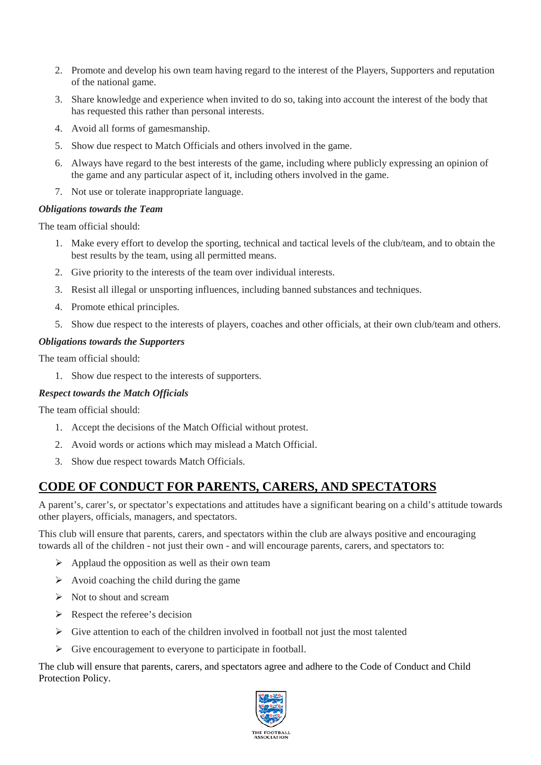- 2. Promote and develop his own team having regard to the interest of the Players, Supporters and reputation of the national game.
- 3. Share knowledge and experience when invited to do so, taking into account the interest of the body that has requested this rather than personal interests.
- 4. Avoid all forms of gamesmanship.
- 5. Show due respect to Match Officials and others involved in the game.
- 6. Always have regard to the best interests of the game, including where publicly expressing an opinion of the game and any particular aspect of it, including others involved in the game.
- 7. Not use or tolerate inappropriate language.

## *Obligations towards the Team*

The team official should:

- 1. Make every effort to develop the sporting, technical and tactical levels of the club/team, and to obtain the best results by the team, using all permitted means.
- 2. Give priority to the interests of the team over individual interests.
- 3. Resist all illegal or unsporting influences, including banned substances and techniques.
- 4. Promote ethical principles.
- 5. Show due respect to the interests of players, coaches and other officials, at their own club/team and others.

## *Obligations towards the Supporters*

The team official should:

1. Show due respect to the interests of supporters.

# *Respect towards the Match Officials*

The team official should:

- 1. Accept the decisions of the Match Official without protest.
- 2. Avoid words or actions which may mislead a Match Official.
- 3. Show due respect towards Match Officials.

# **CODE OF CONDUCT FOR PARENTS, CARERS, AND SPECTATORS**

A parent's, carer's, or spectator's expectations and attitudes have a significant bearing on a child's attitude towards other players, officials, managers, and spectators.

This club will ensure that parents, carers, and spectators within the club are always positive and encouraging towards all of the children - not just their own - and will encourage parents, carers, and spectators to:

- $\triangleright$  Applaud the opposition as well as their own team
- $\triangleright$  Avoid coaching the child during the game
- $\triangleright$  Not to shout and scream
- $\triangleright$  Respect the referee's decision
- $\triangleright$  Give attention to each of the children involved in football not just the most talented
- $\triangleright$  Give encouragement to everyone to participate in football.

The club will ensure that parents, carers, and spectators agree and adhere to the Code of Conduct and Child Protection Policy.